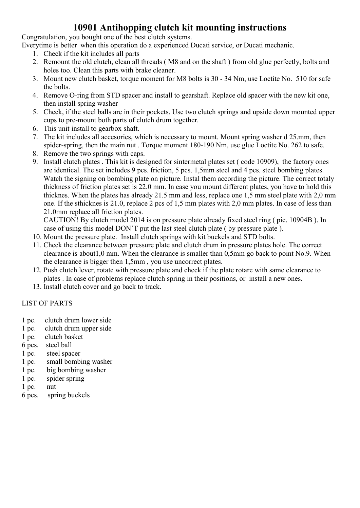## 10901 Antihopping clutch kit mounting instructions

Congratulation, you bought one of the best clutch systems.

Everytime is better when this operation do a experienced Ducati service, or Ducati mechanic.

- 1. Check if the kit includes all parts
- 2. Remount the old clutch, clean all threads ( M8 and on the shaft ) from old glue perfectly, bolts and holes too. Clean this parts with brake cleaner.
- 3. Mount new clutch basket, torque moment for M8 bolts is 30 34 Nm, use Loctite No. 510 for safe the bolts.
- 4. Remove O-ring from STD spacer and install to gearshaft. Replace old spacer with the new kit one, then install spring washer
- 5. Check, if the steel balls are in their pockets. Use two clutch springs and upside down mounted upper cups to pre-mount both parts of clutch drum together.
- 6. This unit install to gearbox shaft.
- 7. The kit includes all accesories, which is necessary to mount. Mount spring washer d 25.mm, then spider-spring, then the main nut . Torque moment 180-190 Nm, use glue Loctite No. 262 to safe.
- 8. Remove the two springs with caps.
- 9. Install clutch plates . This kit is designed for sintermetal plates set ( code 10909), the factory ones are identical. The set includes 9 pcs. friction, 5 pcs. 1,5mm steel and 4 pcs. steel bombing plates. Watch the signing on bombing plate on picture. Instal them according the picture. The correct totaly thickness of friction plates set is 22.0 mm. In case you mount different plates, you have to hold this thicknes. When the plates has already 21.5 mm and less, replace one 1,5 mm steel plate with 2,0 mm one. If the sthicknes is 21.0, replace 2 pcs of 1,5 mm plates with 2,0 mm plates. In case of less than 21.0mm replace all friction plates.

CAUTION! By clutch model 2014 is on pressure plate already fixed steel ring ( pic. 10904B ). In case of using this model DON´T put the last steel clutch plate ( by pressure plate ).

- 10. Mount the pressure plate. Install clutch springs with kit buckels and STD bolts.
- 11. Check the clearance between pressure plate and clutch drum in pressure plates hole. The correct clearance is about1,0 mm. When the clearance is smaller than 0,5mm go back to point No.9. When the clearance is bigger then 1,5mm , you use uncorrect plates.
- 12. Push clutch lever, rotate with pressure plate and check if the plate rotare with same clearance to plates . In case of problems replace clutch spring in their positions, or install a new ones.
- 13. Install clutch cover and go back to track.

## LIST OF PARTS

- 1 pc. clutch drum lower side
- 1 pc. clutch drum upper side
- 1 pc. clutch basket
- 6 pcs. steel ball
- 1 pc. steel spacer
- 1 pc. small bombing washer
- 1 pc. big bombing washer
- 1 pc. spider spring
- 1 pc. nut
- 6 pcs. spring buckels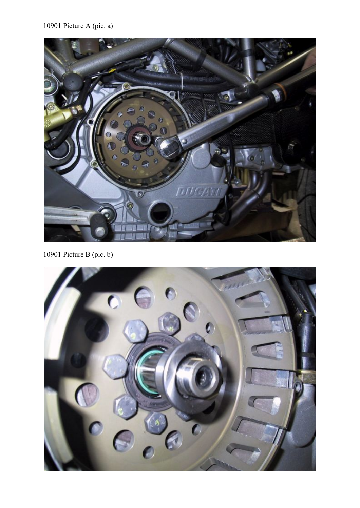

10901 Picture B (pic. b)

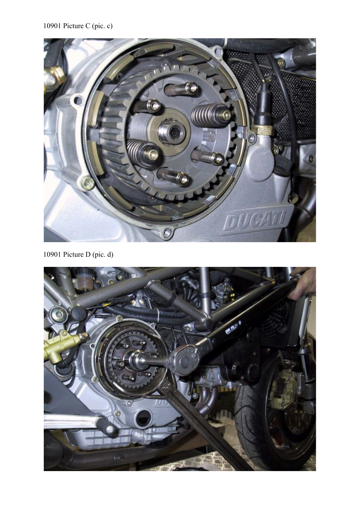

10901 Picture D (pic. d)

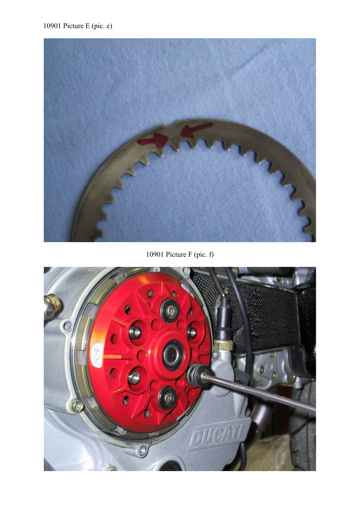10901 Picture E (pic. e)



10901 Picture F (pic. f)